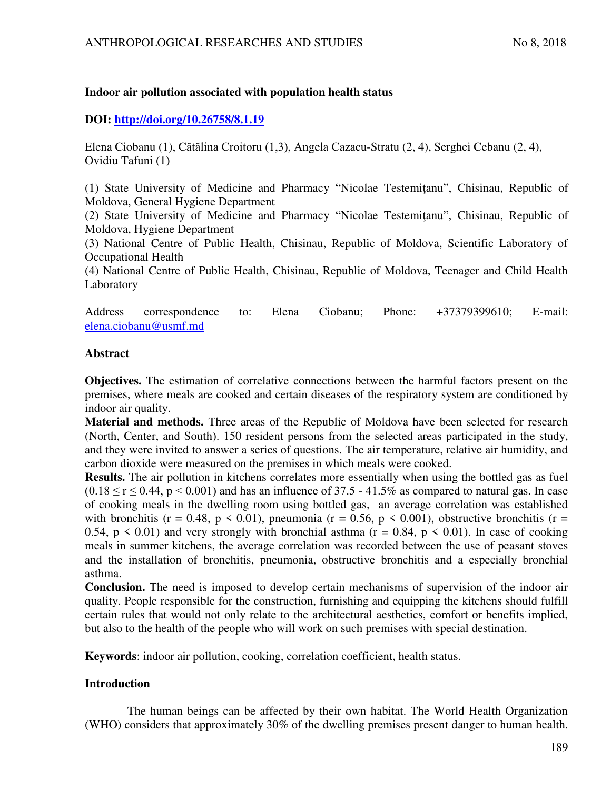# **Indoor air pollution associated with population health status**

# **DOI:<http://doi.org/10.26758/8.1.19>**

Elena Ciobanu (1), Cătălina Croitoru (1,3), Angela Cazacu-Stratu (2, 4), Serghei Cebanu (2, 4), Ovidiu Tafuni (1)

(1) State University of Medicine and Pharmacy "Nicolae Testemiţanu", Chisinau, Republic of Moldova, General Hygiene Department

(2) State University of Medicine and Pharmacy "Nicolae Testemitanu", Chisinau, Republic of Moldova, Hygiene Department

(3) National Centre of Public Health, Chisinau, Republic of Moldova, Scientific Laboratory of Occupational Health

(4) National Centre of Public Health, Chisinau, Republic of Moldova, Teenager and Child Health Laboratory

Address correspondence to: Elena Ciobanu; Phone: +37379399610; E-mail: [elena.ciobanu@usmf.md](mailto:elena.ciobanu@usmf.md)

# **Abstract**

**Objectives.** The estimation of correlative connections between the harmful factors present on the premises, where meals are cooked and certain diseases of the respiratory system are conditioned by indoor air quality.

**Material and methods.** Three areas of the Republic of Moldova have been selected for research (North, Center, and South). 150 resident persons from the selected areas participated in the study, and they were invited to answer a series of questions. The air temperature, relative air humidity, and carbon dioxide were measured on the premises in which meals were cooked.

**Results.** The air pollution in kitchens correlates more essentially when using the bottled gas as fuel  $(0.18 \le r \le 0.44, p \le 0.001)$  and has an influence of 37.5 - 41.5% as compared to natural gas. In case of cooking meals in the dwelling room using bottled gas, an average correlation was established with bronchitis (r = 0.48, p < 0.01), pneumonia (r = 0.56, p < 0.001), obstructive bronchitis (r = 0.54,  $p \le 0.01$ ) and very strongly with bronchial asthma ( $r = 0.84$ ,  $p \le 0.01$ ). In case of cooking meals in summer kitchens, the average correlation was recorded between the use of peasant stoves and the installation of bronchitis, pneumonia, obstructive bronchitis and a especially bronchial asthma.

**Conclusion.** The need is imposed to develop certain mechanisms of supervision of the indoor air quality. People responsible for the construction, furnishing and equipping the kitchens should fulfill certain rules that would not only relate to the architectural aesthetics, comfort or benefits implied, but also to the health of the people who will work on such premises with special destination.

**Keywords**: indoor air pollution, cooking, correlation coefficient, health status.

# **Introduction**

The human beings can be affected by their own habitat. The World Health Organization (WHO) considers that approximately 30% of the dwelling premises present danger to human health.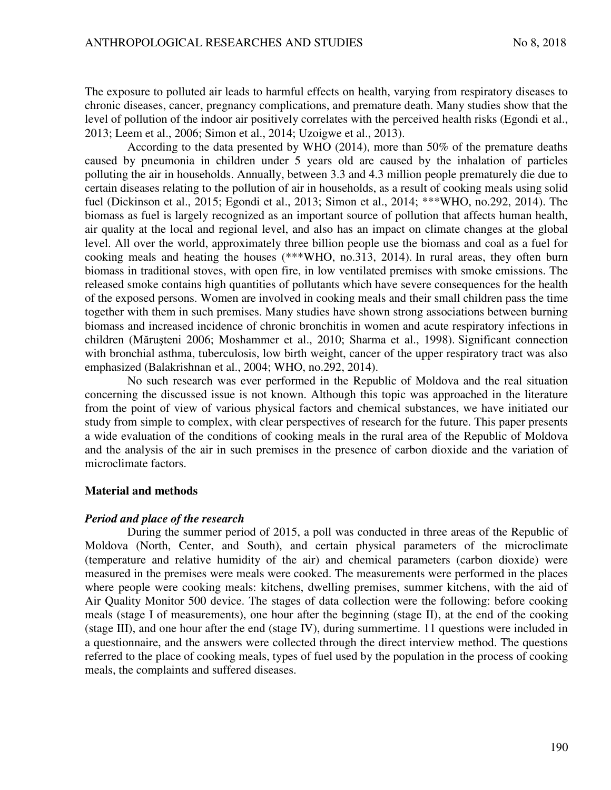The exposure to polluted air leads to harmful effects on health, varying from respiratory diseases to chronic diseases, cancer, pregnancy complications, and premature death. Many studies show that the level of pollution of the indoor air positively correlates with the perceived health risks (Egondi et al., 2013; Leem et al., 2006; Simon et al., 2014; Uzoigwe et al., 2013).

According to the data presented by WHO (2014), more than 50% of the premature deaths caused by pneumonia in children under 5 years old are caused by the inhalation of particles polluting the air in households. Annually, between 3.3 and 4.3 million people prematurely die due to certain diseases relating to the pollution of air in households, as a result of cooking meals using solid fuel (Dickinson et al., 2015; Egondi et al., 2013; Simon et al., 2014; \*\*\*WHO, no.292, 2014). The biomass as fuel is largely recognized as an important source of pollution that affects human health, air quality at the local and regional level, and also has an impact on climate changes at the global level. All over the world, approximately three billion people use the biomass and coal as a fuel for cooking meals and heating the houses (\*\*\*WHO, no.313, 2014). In rural areas, they often burn biomass in traditional stoves, with open fire, in low ventilated premises with smoke emissions. The released smoke contains high quantities of pollutants which have severe consequences for the health of the exposed persons. Women are involved in cooking meals and their small children pass the time together with them in such premises. Many studies have shown strong associations between burning biomass and increased incidence of chronic bronchitis in women and acute respiratory infections in children (Măruşteni 2006; Moshammer et al., 2010; Sharma et al., 1998). Significant connection with bronchial asthma, tuberculosis, low birth weight, cancer of the upper respiratory tract was also emphasized (Balakrishnan et al., 2004; WHO, no.292, 2014).

No such research was ever performed in the Republic of Moldova and the real situation concerning the discussed issue is not known. Although this topic was approached in the literature from the point of view of various physical factors and chemical substances, we have initiated our study from simple to complex, with clear perspectives of research for the future. This paper presents a wide evaluation of the conditions of cooking meals in the rural area of the Republic of Moldova and the analysis of the air in such premises in the presence of carbon dioxide and the variation of microclimate factors.

### **Material and methods**

### *Period and place of the research*

During the summer period of 2015, a poll was conducted in three areas of the Republic of Moldova (North, Center, and South), and certain physical parameters of the microclimate (temperature and relative humidity of the air) and chemical parameters (carbon dioxide) were measured in the premises were meals were cooked. The measurements were performed in the places where people were cooking meals: kitchens, dwelling premises, summer kitchens, with the aid of Air Quality Monitor 500 device. The stages of data collection were the following: before cooking meals (stage I of measurements), one hour after the beginning (stage II), at the end of the cooking (stage III), and one hour after the end (stage IV), during summertime. 11 questions were included in a questionnaire, and the answers were collected through the direct interview method. The questions referred to the place of cooking meals, types of fuel used by the population in the process of cooking meals, the complaints and suffered diseases.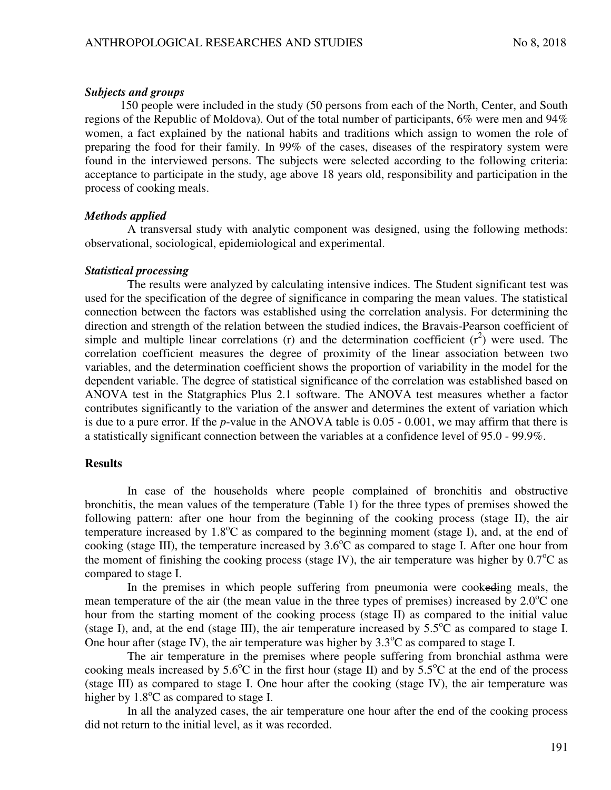#### *Subjects and groups*

150 people were included in the study (50 persons from each of the North, Center, and South regions of the Republic of Moldova). Out of the total number of participants, 6% were men and 94% women, a fact explained by the national habits and traditions which assign to women the role of preparing the food for their family. In 99% of the cases, diseases of the respiratory system were found in the interviewed persons. The subjects were selected according to the following criteria: acceptance to participate in the study, age above 18 years old, responsibility and participation in the process of cooking meals.

### *Methods applied*

A transversal study with analytic component was designed, using the following methods: observational, sociological, epidemiological and experimental.

#### *Statistical processing*

The results were analyzed by calculating intensive indices. The Student significant test was used for the specification of the degree of significance in comparing the mean values. The statistical connection between the factors was established using the correlation analysis. For determining the direction and strength of the relation between the studied indices, the Bravais-Pearson coefficient of simple and multiple linear correlations (r) and the determination coefficient  $(r^2)$  were used. The correlation coefficient measures the degree of proximity of the linear association between two variables, and the determination coefficient shows the proportion of variability in the model for the dependent variable. The degree of statistical significance of the correlation was established based on ANOVA test in the Statgraphics Plus 2.1 software. The ANOVA test measures whether a factor contributes significantly to the variation of the answer and determines the extent of variation which is due to a pure error. If the *p*-value in the ANOVA table is 0.05 - 0.001, we may affirm that there is a statistically significant connection between the variables at a confidence level of 95.0 - 99.9%.

#### **Results**

In case of the households where people complained of bronchitis and obstructive bronchitis, the mean values of the temperature (Table 1) for the three types of premises showed the following pattern: after one hour from the beginning of the cooking process (stage II), the air temperature increased by  $1.8^{\circ}$ C as compared to the beginning moment (stage I), and, at the end of cooking (stage III), the temperature increased by  $3.6^{\circ}$ C as compared to stage I. After one hour from the moment of finishing the cooking process (stage IV), the air temperature was higher by  $0.7^{\circ}$ C as compared to stage I.

In the premises in which people suffering from pneumonia were cookeding meals, the mean temperature of the air (the mean value in the three types of premises) increased by  $2.0^{\circ}$ C one hour from the starting moment of the cooking process (stage II) as compared to the initial value (stage I), and, at the end (stage III), the air temperature increased by  $5.5^{\circ}$ C as compared to stage I. One hour after (stage IV), the air temperature was higher by  $3.3^{\circ}$ C as compared to stage I.

The air temperature in the premises where people suffering from bronchial asthma were cooking meals increased by  $5.6^{\circ}\text{C}$  in the first hour (stage II) and by  $5.5^{\circ}\text{C}$  at the end of the process (stage III) as compared to stage I. One hour after the cooking (stage IV), the air temperature was higher by  $1.8^{\circ}$ C as compared to stage I.

In all the analyzed cases, the air temperature one hour after the end of the cooking process did not return to the initial level, as it was recorded.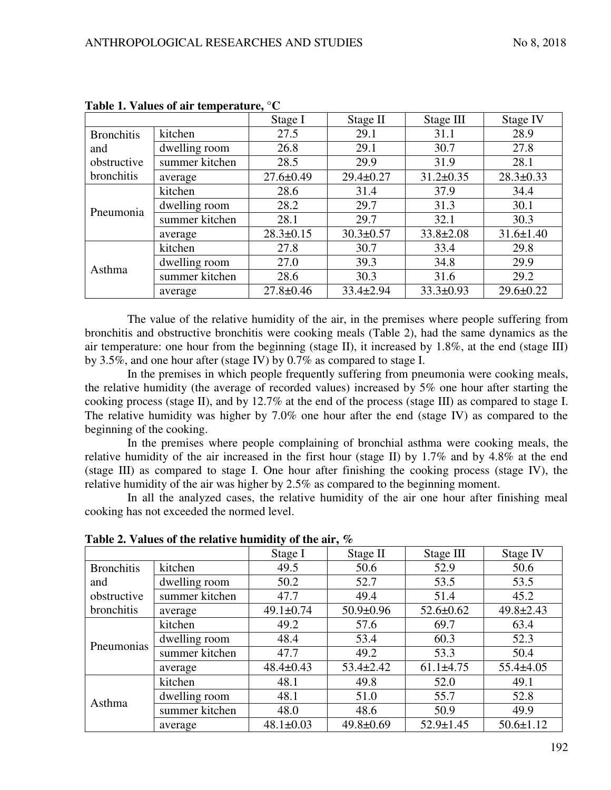|                                                       |                | Stage I         | Stage II        | Stage III       | Stage IV        |
|-------------------------------------------------------|----------------|-----------------|-----------------|-----------------|-----------------|
| <b>Bronchitis</b><br>and<br>obstructive<br>bronchitis | kitchen        | 27.5            | 29.1            | 31.1            | 28.9            |
|                                                       | dwelling room  | 26.8            | 29.1            | 30.7            | 27.8            |
|                                                       | summer kitchen | 28.5            | 29.9            | 31.9            | 28.1            |
|                                                       | average        | $27.6 \pm 0.49$ | $29.4 \pm 0.27$ | $31.2 \pm 0.35$ | $28.3 \pm 0.33$ |
| Pneumonia                                             | kitchen        | 28.6            | 31.4            | 37.9            | 34.4            |
|                                                       | dwelling room  | 28.2            | 29.7            | 31.3            | 30.1            |
|                                                       | summer kitchen | 28.1            | 29.7            | 32.1            | 30.3            |
|                                                       | average        | $28.3 \pm 0.15$ | $30.3 \pm 0.57$ | $33.8 \pm 2.08$ | $31.6 \pm 1.40$ |
| Asthma                                                | kitchen        | 27.8            | 30.7            | 33.4            | 29.8            |
|                                                       | dwelling room  | 27.0            | 39.3            | 34.8            | 29.9            |
|                                                       | summer kitchen | 28.6            | 30.3            | 31.6            | 29.2            |
|                                                       | average        | $27.8 \pm 0.46$ | $33.4 \pm 2.94$ | $33.3 \pm 0.93$ | $29.6 \pm 0.22$ |

**Table 1. Values of air temperature, °C** 

The value of the relative humidity of the air, in the premises where people suffering from bronchitis and obstructive bronchitis were cooking meals (Table 2), had the same dynamics as the air temperature: one hour from the beginning (stage II), it increased by 1.8%, at the end (stage III) by 3.5%, and one hour after (stage IV) by 0.7% as compared to stage I.

In the premises in which people frequently suffering from pneumonia were cooking meals, the relative humidity (the average of recorded values) increased by 5% one hour after starting the cooking process (stage II), and by 12.7% at the end of the process (stage III) as compared to stage I. The relative humidity was higher by 7.0% one hour after the end (stage IV) as compared to the beginning of the cooking.

In the premises where people complaining of bronchial asthma were cooking meals, the relative humidity of the air increased in the first hour (stage II) by 1.7% and by 4.8% at the end (stage III) as compared to stage I. One hour after finishing the cooking process (stage IV), the relative humidity of the air was higher by 2.5% as compared to the beginning moment.

In all the analyzed cases, the relative humidity of the air one hour after finishing meal cooking has not exceeded the normed level.

|                                  |                | Stage I         | Stage II        | Stage III       | Stage IV        |
|----------------------------------|----------------|-----------------|-----------------|-----------------|-----------------|
| <b>Bronchitis</b>                | kitchen        | 49.5            | 50.6            | 52.9            | 50.6            |
| and<br>obstructive<br>bronchitis | dwelling room  | 50.2            | 52.7            | 53.5            | 53.5            |
|                                  | summer kitchen | 47.7            | 49.4            | 51.4            | 45.2            |
|                                  | average        | $49.1 \pm 0.74$ | $50.9 \pm 0.96$ | $52.6 \pm 0.62$ | $49.8 \pm 2.43$ |
| Pneumonias                       | kitchen        | 49.2            | 57.6            | 69.7            | 63.4            |
|                                  | dwelling room  | 48.4            | 53.4            | 60.3            | 52.3            |
|                                  | summer kitchen | 47.7            | 49.2            | 53.3            | 50.4            |
|                                  | average        | $48.4 \pm 0.43$ | $53.4 \pm 2.42$ | $61.1\pm4.75$   | $55.4 \pm 4.05$ |
| Asthma                           | kitchen        | 48.1            | 49.8            | 52.0            | 49.1            |
|                                  | dwelling room  | 48.1            | 51.0            | 55.7            | 52.8            |
|                                  | summer kitchen | 48.0            | 48.6            | 50.9            | 49.9            |
|                                  | average        | $48.1 \pm 0.03$ | $49.8 \pm 0.69$ | $52.9 \pm 1.45$ | $50.6 \pm 1.12$ |

**Table 2. Values of the relative humidity of the air, %**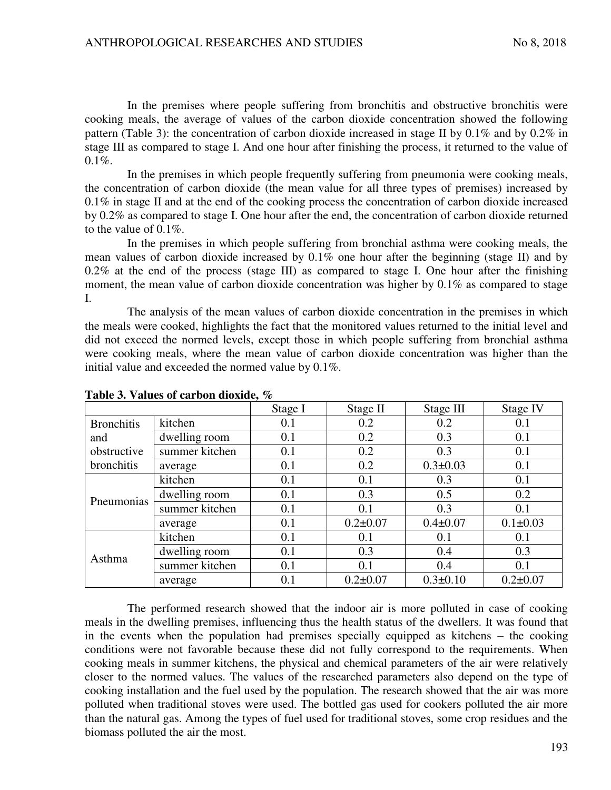In the premises where people suffering from bronchitis and obstructive bronchitis were cooking meals, the average of values of the carbon dioxide concentration showed the following pattern (Table 3): the concentration of carbon dioxide increased in stage II by 0.1% and by 0.2% in stage III as compared to stage I. And one hour after finishing the process, it returned to the value of  $0.1\%$ .

In the premises in which people frequently suffering from pneumonia were cooking meals, the concentration of carbon dioxide (the mean value for all three types of premises) increased by 0.1% in stage II and at the end of the cooking process the concentration of carbon dioxide increased by 0.2% as compared to stage I. One hour after the end, the concentration of carbon dioxide returned to the value of 0.1%.

In the premises in which people suffering from bronchial asthma were cooking meals, the mean values of carbon dioxide increased by 0.1% one hour after the beginning (stage II) and by 0.2% at the end of the process (stage III) as compared to stage I. One hour after the finishing moment, the mean value of carbon dioxide concentration was higher by 0.1% as compared to stage I.

The analysis of the mean values of carbon dioxide concentration in the premises in which the meals were cooked, highlights the fact that the monitored values returned to the initial level and did not exceed the normed levels, except those in which people suffering from bronchial asthma were cooking meals, where the mean value of carbon dioxide concentration was higher than the initial value and exceeded the normed value by 0.1%.

|                                                       |                | Stage I | Stage II       | Stage III      | Stage IV       |
|-------------------------------------------------------|----------------|---------|----------------|----------------|----------------|
| <b>Bronchitis</b><br>and<br>obstructive<br>bronchitis | kitchen        | 0.1     | 0.2            | 0.2            | 0.1            |
|                                                       | dwelling room  | 0.1     | 0.2            | 0.3            | 0.1            |
|                                                       | summer kitchen | 0.1     | 0.2            | 0.3            | 0.1            |
|                                                       | average        | 0.1     | 0.2            | $0.3 \pm 0.03$ | 0.1            |
| Pneumonias                                            | kitchen        | 0.1     | 0.1            | 0.3            | 0.1            |
|                                                       | dwelling room  | 0.1     | 0.3            | 0.5            | 0.2            |
|                                                       | summer kitchen | 0.1     | 0.1            | 0.3            | 0.1            |
|                                                       | average        | 0.1     | $0.2 \pm 0.07$ | $0.4 \pm 0.07$ | $0.1 \pm 0.03$ |
| Asthma                                                | kitchen        | 0.1     | 0.1            | 0.1            | 0.1            |
|                                                       | dwelling room  | 0.1     | 0.3            | 0.4            | 0.3            |
|                                                       | summer kitchen | 0.1     | 0.1            | 0.4            | 0.1            |
|                                                       | average        | 0.1     | $0.2 \pm 0.07$ | $0.3 \pm 0.10$ | $0.2 \pm 0.07$ |

**Table 3. Values of carbon dioxide, %** 

The performed research showed that the indoor air is more polluted in case of cooking meals in the dwelling premises, influencing thus the health status of the dwellers. It was found that in the events when the population had premises specially equipped as kitchens – the cooking conditions were not favorable because these did not fully correspond to the requirements. When cooking meals in summer kitchens, the physical and chemical parameters of the air were relatively closer to the normed values. The values of the researched parameters also depend on the type of cooking installation and the fuel used by the population. The research showed that the air was more polluted when traditional stoves were used. The bottled gas used for cookers polluted the air more than the natural gas. Among the types of fuel used for traditional stoves, some crop residues and the biomass polluted the air the most.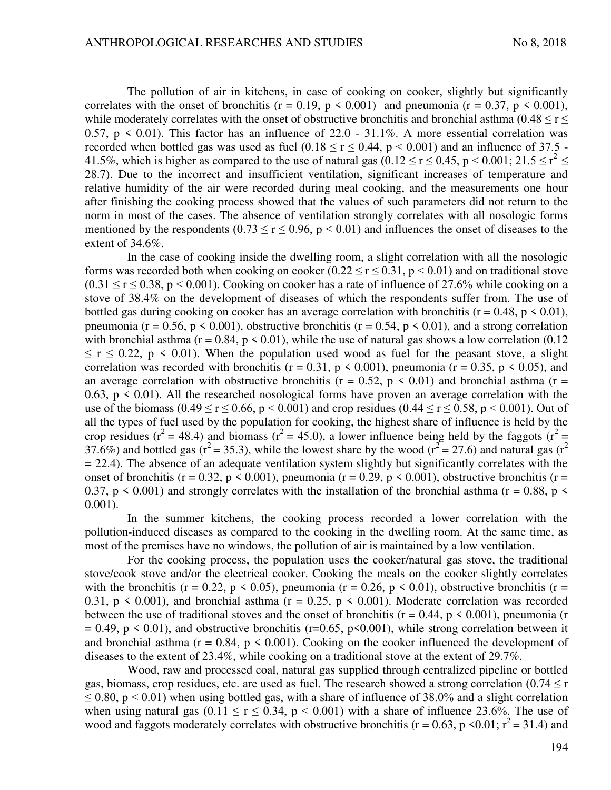The pollution of air in kitchens, in case of cooking on cooker, slightly but significantly correlates with the onset of bronchitis ( $r = 0.19$ ,  $p \le 0.001$ ) and pneumonia ( $r = 0.37$ ,  $p \le 0.001$ ), while moderately correlates with the onset of obstructive bronchitis and bronchial asthma (0.48  $\leq$  r  $\leq$ 0.57,  $p \le 0.01$ ). This factor has an influence of 22.0 - 31.1%. A more essential correlation was recorded when bottled gas was used as fuel  $(0.18 \le r \le 0.44, p \le 0.001)$  and an influence of 37.5 -41.5%, which is higher as compared to the use of natural gas  $(0.12 \le r \le 0.45, p \le 0.001; 21.5 \le r^2 \le$ 28.7). Due to the incorrect and insufficient ventilation, significant increases of temperature and relative humidity of the air were recorded during meal cooking, and the measurements one hour after finishing the cooking process showed that the values of such parameters did not return to the norm in most of the cases. The absence of ventilation strongly correlates with all nosologic forms mentioned by the respondents (0.73  $\leq$  r  $\leq$  0.96, p  $\leq$  0.01) and influences the onset of diseases to the extent of 34.6%.

In the case of cooking inside the dwelling room, a slight correlation with all the nosologic forms was recorded both when cooking on cooker  $(0.22 \le r \le 0.31, p \le 0.01)$  and on traditional stove  $(0.31 \le r \le 0.38, p \le 0.001)$ . Cooking on cooker has a rate of influence of 27.6% while cooking on a stove of 38.4% on the development of diseases of which the respondents suffer from. The use of bottled gas during cooking on cooker has an average correlation with bronchitis ( $r = 0.48$ ,  $p \le 0.01$ ), pneumonia ( $r = 0.56$ ,  $p \le 0.001$ ), obstructive bronchitis ( $r = 0.54$ ,  $p \le 0.01$ ), and a strong correlation with bronchial asthma ( $r = 0.84$ ,  $p \le 0.01$ ), while the use of natural gas shows a low correlation (0.12)  $\leq$  r  $\leq$  0.22, p  $\leq$  0.01). When the population used wood as fuel for the peasant stove, a slight correlation was recorded with bronchitis ( $r = 0.31$ ,  $p \le 0.001$ ), pneumonia ( $r = 0.35$ ,  $p \le 0.05$ ), and an average correlation with obstructive bronchitis ( $r = 0.52$ ,  $p \le 0.01$ ) and bronchial asthma ( $r =$ 0.63,  $p \le 0.01$ ). All the researched nosological forms have proven an average correlation with the use of the biomass (0.49  $\le r \le 0.66$ , p < 0.001) and crop residues (0.44  $\le r \le 0.58$ , p < 0.001). Out of all the types of fuel used by the population for cooking, the highest share of influence is held by the crop residues ( $r^2 = 48.4$ ) and biomass ( $r^2 = 45.0$ ), a lower influence being held by the faggots ( $r^2 =$ 37.6%) and bottled gas ( $r^2$  = 35.3), while the lowest share by the wood ( $r^2$  = 27.6) and natural gas ( $r^2$  $= 22.4$ ). The absence of an adequate ventilation system slightly but significantly correlates with the onset of bronchitis (r = 0.32, p < 0.001), pneumonia (r = 0.29, p < 0.001), obstructive bronchitis (r = 0.37, p  $\leq$  0.001) and strongly correlates with the installation of the bronchial asthma (r = 0.88, p  $\leq$ 0.001).

In the summer kitchens, the cooking process recorded a lower correlation with the pollution-induced diseases as compared to the cooking in the dwelling room. At the same time, as most of the premises have no windows, the pollution of air is maintained by a low ventilation.

For the cooking process, the population uses the cooker/natural gas stove, the traditional stove/cook stove and/or the electrical cooker. Cooking the meals on the cooker slightly correlates with the bronchitis (r = 0.22, p < 0.05), pneumonia (r = 0.26, p < 0.01), obstructive bronchitis (r = 0.31,  $p \le 0.001$ ), and bronchial asthma ( $r = 0.25$ ,  $p \le 0.001$ ). Moderate correlation was recorded between the use of traditional stoves and the onset of bronchitis ( $r = 0.44$ ,  $p \le 0.001$ ), pneumonia (r  $= 0.49$ , p < 0.01), and obstructive bronchitis (r=0.65, p<0.001), while strong correlation between it and bronchial asthma ( $r = 0.84$ ,  $p \le 0.001$ ). Cooking on the cooker influenced the development of diseases to the extent of 23.4%, while cooking on a traditional stove at the extent of 29.7%.

Wood, raw and processed coal, natural gas supplied through centralized pipeline or bottled gas, biomass, crop residues, etc. are used as fuel. The research showed a strong correlation (0.74  $\leq$  r  $\leq$  0.80, p  $\leq$  0.01) when using bottled gas, with a share of influence of 38.0% and a slight correlation when using natural gas  $(0.11 \le r \le 0.34, p \le 0.001)$  with a share of influence 23.6%. The use of wood and faggots moderately correlates with obstructive bronchitis ( $r = 0.63$ ,  $p \le 0.01$ ;  $r^2 = 31.4$ ) and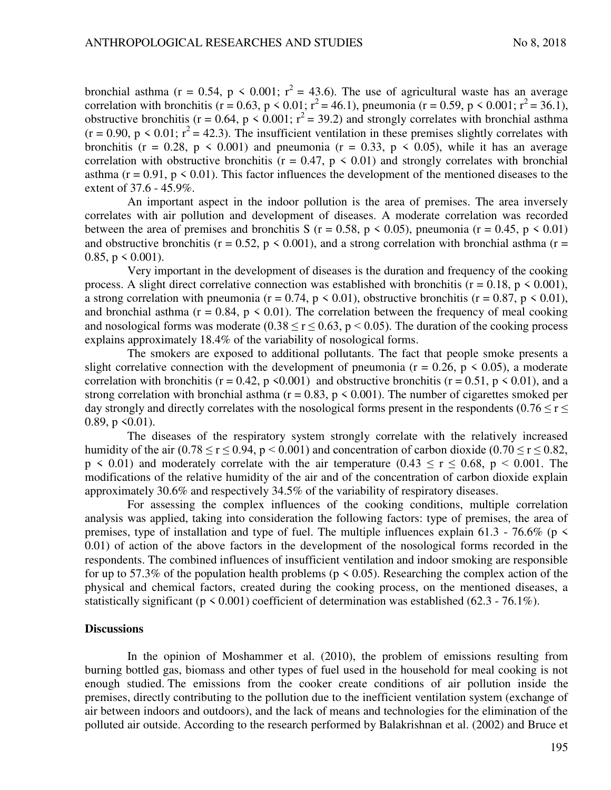bronchial asthma (r = 0.54, p < 0.001;  $r^2 = 43.6$ ). The use of agricultural waste has an average correlation with bronchitis (r = 0.63, p < 0.01;  $r^2 = 46.1$ ), pneumonia (r = 0.59, p < 0.001;  $r^2 = 36.1$ ), obstructive bronchitis (r = 0.64, p < 0.001;  $r^2$  = 39.2) and strongly correlates with bronchial asthma  $(r = 0.90, p \le 0.01; r^2 = 42.3)$ . The insufficient ventilation in these premises slightly correlates with bronchitis ( $r = 0.28$ ,  $p \le 0.001$ ) and pneumonia ( $r = 0.33$ ,  $p \le 0.05$ ), while it has an average correlation with obstructive bronchitis ( $r = 0.47$ ,  $p \le 0.01$ ) and strongly correlates with bronchial asthma ( $r = 0.91$ ,  $p \le 0.01$ ). This factor influences the development of the mentioned diseases to the extent of 37.6 - 45.9%.

An important aspect in the indoor pollution is the area of premises. The area inversely correlates with air pollution and development of diseases. A moderate correlation was recorded between the area of premises and bronchitis S ( $r = 0.58$ ,  $p \le 0.05$ ), pneumonia ( $r = 0.45$ ,  $p \le 0.01$ ) and obstructive bronchitis ( $r = 0.52$ ,  $p \le 0.001$ ), and a strong correlation with bronchial asthma ( $r =$ 0.85,  $p \le 0.001$ ).

Very important in the development of diseases is the duration and frequency of the cooking process. A slight direct correlative connection was established with bronchitis ( $r = 0.18$ ,  $p \le 0.001$ ), a strong correlation with pneumonia ( $r = 0.74$ ,  $p \le 0.01$ ), obstructive bronchitis ( $r = 0.87$ ,  $p \le 0.01$ ), and bronchial asthma ( $r = 0.84$ ,  $p \le 0.01$ ). The correlation between the frequency of meal cooking and nosological forms was moderate (0.38  $\leq$  r  $\leq$  0.63, p < 0.05). The duration of the cooking process explains approximately 18.4% of the variability of nosological forms.

The smokers are exposed to additional pollutants. The fact that people smoke presents a slight correlative connection with the development of pneumonia ( $r = 0.26$ ,  $p \le 0.05$ ), a moderate correlation with bronchitis ( $r = 0.42$ ,  $p \le 0.001$ ) and obstructive bronchitis ( $r = 0.51$ ,  $p \le 0.01$ ), and a strong correlation with bronchial asthma ( $r = 0.83$ ,  $p \le 0.001$ ). The number of cigarettes smoked per day strongly and directly correlates with the nosological forms present in the respondents ( $0.76 \le r \le$ 0.89,  $p \le 0.01$ ).

The diseases of the respiratory system strongly correlate with the relatively increased humidity of the air (0.78  $\le$  r  $\le$  0.94, p  $\le$  0.001) and concentration of carbon dioxide (0.70  $\le$  r  $\le$  0.82,  $p \le 0.01$ ) and moderately correlate with the air temperature  $(0.43 \le r \le 0.68, p \le 0.001$ . The modifications of the relative humidity of the air and of the concentration of carbon dioxide explain approximately 30.6% and respectively 34.5% of the variability of respiratory diseases.

For assessing the complex influences of the cooking conditions, multiple correlation analysis was applied, taking into consideration the following factors: type of premises, the area of premises, type of installation and type of fuel. The multiple influences explain 61.3 - 76.6% ( $p \le$ 0.01) of action of the above factors in the development of the nosological forms recorded in the respondents. The combined influences of insufficient ventilation and indoor smoking are responsible for up to 57.3% of the population health problems ( $p \le 0.05$ ). Researching the complex action of the physical and chemical factors, created during the cooking process, on the mentioned diseases, a statistically significant ( $p \le 0.001$ ) coefficient of determination was established (62.3 - 76.1%).

### **Discussions**

In the opinion of Moshammer et al. (2010), the problem of emissions resulting from burning bottled gas, biomass and other types of fuel used in the household for meal cooking is not enough studied. The emissions from the cooker create conditions of air pollution inside the premises, directly contributing to the pollution due to the inefficient ventilation system (exchange of air between indoors and outdoors), and the lack of means and technologies for the elimination of the polluted air outside. According to the research performed by Balakrishnan et al. (2002) and Bruce et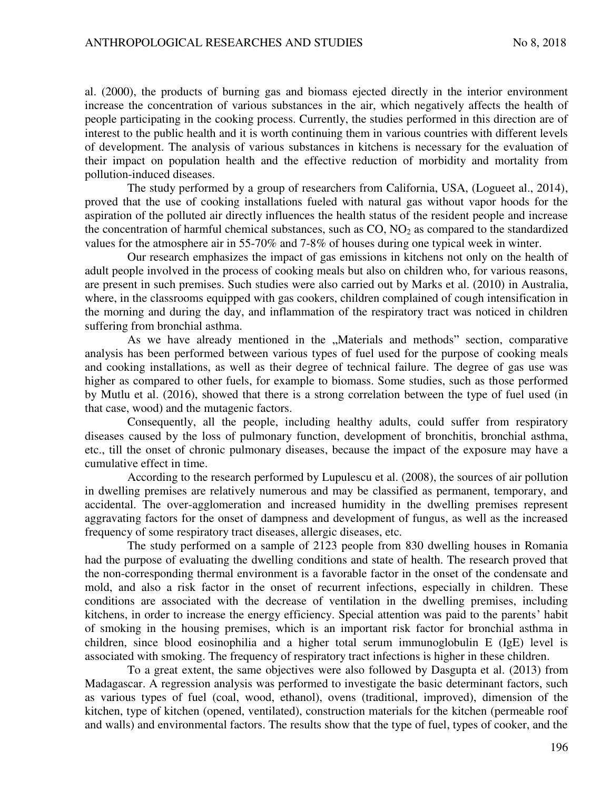al. (2000), the products of burning gas and biomass ejected directly in the interior environment increase the concentration of various substances in the air, which negatively affects the health of people participating in the cooking process. Currently, the studies performed in this direction are of interest to the public health and it is worth continuing them in various countries with different levels of development. The analysis of various substances in kitchens is necessary for the evaluation of their impact on population health and the effective reduction of morbidity and mortality from pollution-induced diseases.

The study performed by a group of researchers from California, USA, (Logueet al., 2014), proved that the use of cooking installations fueled with natural gas without vapor hoods for the aspiration of the polluted air directly influences the health status of the resident people and increase the concentration of harmful chemical substances, such as  $CO$ ,  $NO<sub>2</sub>$  as compared to the standardized values for the atmosphere air in 55-70% and 7-8% of houses during one typical week in winter.

Our research emphasizes the impact of gas emissions in kitchens not only on the health of adult people involved in the process of cooking meals but also on children who, for various reasons, are present in such premises. Such studies were also carried out by Marks et al. (2010) in Australia, where, in the classrooms equipped with gas cookers, children complained of cough intensification in the morning and during the day, and inflammation of the respiratory tract was noticed in children suffering from bronchial asthma.

As we have already mentioned in the "Materials and methods" section, comparative analysis has been performed between various types of fuel used for the purpose of cooking meals and cooking installations, as well as their degree of technical failure. The degree of gas use was higher as compared to other fuels, for example to biomass. Some studies, such as those performed by Mutlu et al. (2016), showed that there is a strong correlation between the type of fuel used (in that case, wood) and the mutagenic factors.

Consequently, all the people, including healthy adults, could suffer from respiratory diseases caused by the loss of pulmonary function, development of bronchitis, bronchial asthma, etc., till the onset of chronic pulmonary diseases, because the impact of the exposure may have a cumulative effect in time.

According to the research performed by Lupulescu et al. (2008), the sources of air pollution in dwelling premises are relatively numerous and may be classified as permanent, temporary, and accidental. The over-agglomeration and increased humidity in the dwelling premises represent aggravating factors for the onset of dampness and development of fungus, as well as the increased frequency of some respiratory tract diseases, allergic diseases, etc.

The study performed on a sample of 2123 people from 830 dwelling houses in Romania had the purpose of evaluating the dwelling conditions and state of health. The research proved that the non-corresponding thermal environment is a favorable factor in the onset of the condensate and mold, and also a risk factor in the onset of recurrent infections, especially in children. These conditions are associated with the decrease of ventilation in the dwelling premises, including kitchens, in order to increase the energy efficiency. Special attention was paid to the parents' habit of smoking in the housing premises, which is an important risk factor for bronchial asthma in children, since blood eosinophilia and a higher total serum immunoglobulin E (IgE) level is associated with smoking. The frequency of respiratory tract infections is higher in these children.

To a great extent, the same objectives were also followed by Dasgupta et al. (2013) from Madagascar. A regression analysis was performed to investigate the basic determinant factors, such as various types of fuel (coal, wood, ethanol), ovens (traditional, improved), dimension of the kitchen, type of kitchen (opened, ventilated), construction materials for the kitchen (permeable roof and walls) and environmental factors. The results show that the type of fuel, types of cooker, and the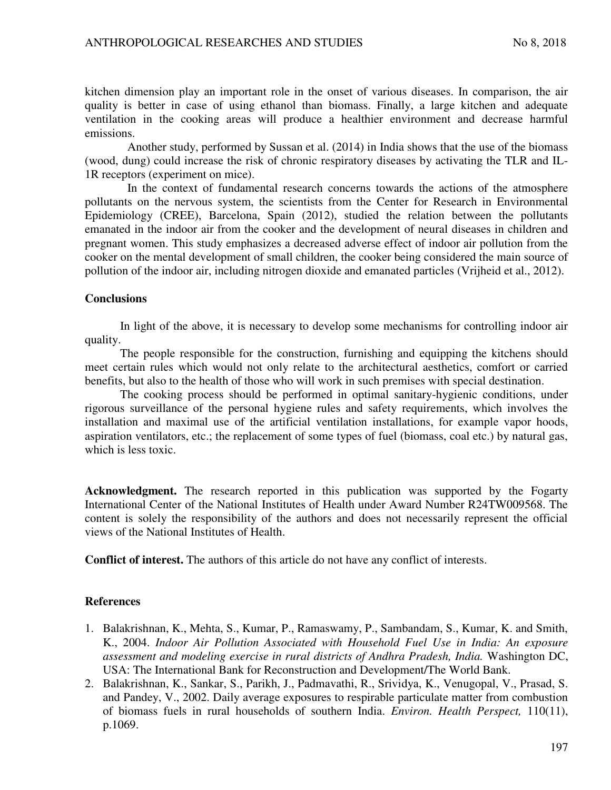kitchen dimension play an important role in the onset of various diseases. In comparison, the air quality is better in case of using ethanol than biomass. Finally, a large kitchen and adequate ventilation in the cooking areas will produce a healthier environment and decrease harmful emissions.

Another study, performed by Sussan et al. (2014) in India shows that the use of the biomass (wood, dung) could increase the risk of chronic respiratory diseases by activating the TLR and IL-1R receptors (experiment on mice).

In the context of fundamental research concerns towards the actions of the atmosphere pollutants on the nervous system, the scientists from the Center for Research in Environmental Epidemiology (CREE), Barcelona, Spain (2012), studied the relation between the pollutants emanated in the indoor air from the cooker and the development of neural diseases in children and pregnant women. This study emphasizes a decreased adverse effect of indoor air pollution from the cooker on the mental development of small children, the cooker being considered the main source of pollution of the indoor air, including nitrogen dioxide and emanated particles (Vrijheid et al., 2012).

#### **Conclusions**

In light of the above, it is necessary to develop some mechanisms for controlling indoor air quality.

The people responsible for the construction, furnishing and equipping the kitchens should meet certain rules which would not only relate to the architectural aesthetics, comfort or carried benefits, but also to the health of those who will work in such premises with special destination.

The cooking process should be performed in optimal sanitary-hygienic conditions, under rigorous surveillance of the personal hygiene rules and safety requirements, which involves the installation and maximal use of the artificial ventilation installations, for example vapor hoods, aspiration ventilators, etc.; the replacement of some types of fuel (biomass, coal etc.) by natural gas, which is less toxic.

**Acknowledgment.** The research reported in this publication was supported by the Fogarty International Center of the National Institutes of Health under Award Number R24TW009568. The content is solely the responsibility of the authors and does not necessarily represent the official views of the National Institutes of Health.

**Conflict of interest.** The authors of this article do not have any conflict of interests.

### **References**

- 1. Balakrishnan, K., Mehta, S., Kumar, P., Ramaswamy, P., Sambandam, S., Kumar, K. and Smith, K., 2004. *Indoor Air Pollution Associated with Household Fuel Use in India: An exposure assessment and modeling exercise in rural districts of Andhra Pradesh, India.* Washington DC, USA: The International Bank for Reconstruction and Development/The World Bank.
- 2. Balakrishnan, K., Sankar, S., Parikh, J., Padmavathi, R., Srividya, K., Venugopal, V., Prasad, S. and Pandey, V., 2002. Daily average exposures to respirable particulate matter from combustion of biomass fuels in rural households of southern India. *Environ. Health Perspect,* 110(11), p.1069.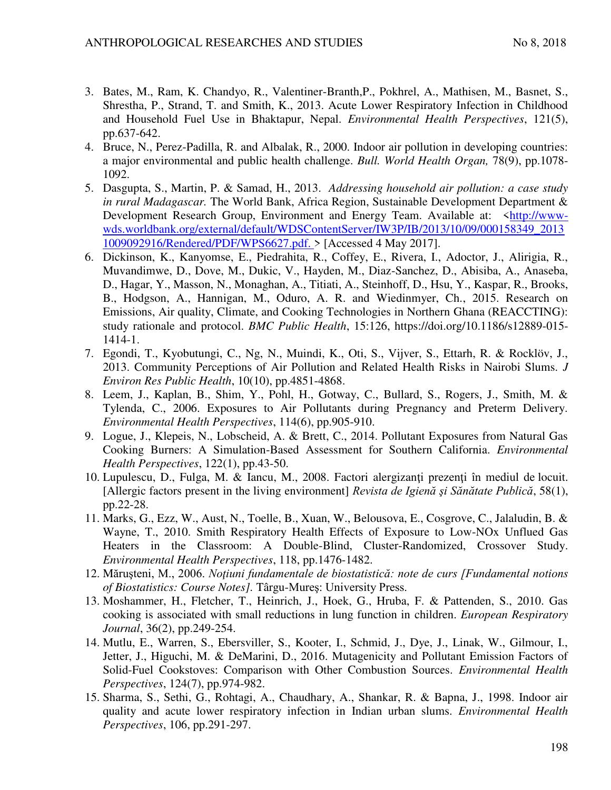- 3. Bates, M., Ram, K. Chandyo, R., Valentiner-Branth,P., Pokhrel, A., Mathisen, M., Basnet, S., Shrestha, P., Strand, T. and Smith, K., 2013. Acute Lower Respiratory Infection in Childhood and Household Fuel Use in Bhaktapur, Nepal. *Environmental Health Perspectives*, 121(5), pp.637-642.
- 4. Bruce, N., Perez-Padilla, R. and Albalak, R., 2000. Indoor air pollution in developing countries: a major environmental and public health challenge. *Bull. World Health Organ,* 78(9), pp.1078- 1092.
- 5. Dasgupta, S., Martin, P. & Samad, H., 2013. *Addressing household air pollution: a case study in rural Madagascar.* The World Bank, Africa Region, Sustainable Development Department & Development Research Group, Environment and Energy Team. Available at: [<http://www](http://www-wds.worldbank.org/external/default/WDSContentServer/IW3P/IB/2013/10/09/000158349_20131009092916/Rendered/PDF/WPS6627.pdf.)[wds.worldbank.org/external/default/WDSContentServer/IW3P/IB/2013/10/09/000158349\\_2013](http://www-wds.worldbank.org/external/default/WDSContentServer/IW3P/IB/2013/10/09/000158349_20131009092916/Rendered/PDF/WPS6627.pdf.) [1009092916/Rendered/PDF/WPS6627.pdf. >](http://www-wds.worldbank.org/external/default/WDSContentServer/IW3P/IB/2013/10/09/000158349_20131009092916/Rendered/PDF/WPS6627.pdf.) [Accessed 4 May 2017].
- 6. Dickinson, K., Kanyomse, E., Piedrahita, R., Coffey, E., Rivera, I., Adoctor, J., Alirigia, R., Muvandimwe, D., Dove, M., Dukic, V., Hayden, M., Diaz-Sanchez, D., Abisiba, A., Anaseba, D., Hagar, Y., Masson, N., Monaghan, A., Titiati, A., Steinhoff, D., Hsu, Y., Kaspar, R., Brooks, B., Hodgson, A., Hannigan, M., Oduro, A. R. and Wiedinmyer, Ch., 2015. Research on Emissions, Air quality, Climate, and Cooking Technologies in Northern Ghana (REACCTING): study rationale and protocol. *BMC Public Health*, 15:126, https://doi.org/10.1186/s12889-015- 1414-1.
- 7. Egondi, T., Kyobutungi, C., Ng, N., Muindi, K., Oti, S., Vijver, S., Ettarh, R. & Rocklöv, J., 2013. Community Perceptions of Air Pollution and Related Health Risks in Nairobi Slums. *J Environ Res Public Health*, 10(10), pp.4851-4868.
- 8. Leem, J., Kaplan, B., Shim, Y., Pohl, H., Gotway, C., Bullard, S., Rogers, J., Smith, M. & Tylenda, C., 2006. Exposures to Air Pollutants during Pregnancy and Preterm Delivery. *Environmental Health Perspectives*, 114(6), pp.905-910.
- 9. Logue, J., Klepeis, N., Lobscheid, A. & Brett, C., 2014. Pollutant Exposures from Natural Gas Cooking Burners: A Simulation-Based Assessment for Southern California. *Environmental Health Perspectives*, 122(1), pp.43-50.
- 10. Lupulescu, D., Fulga, M. & Iancu, M., 2008. Factori alergizanți prezenți în mediul de locuit. [Allergic factors present in the living environment] *Revista de Igienă şi Sănătate Publică*, 58(1), pp.22-28.
- 11. Marks, G., Ezz, W., Aust, N., Toelle, B., Xuan, W., Belousova, E., Cosgrove, C., Jalaludin, B. & Wayne, T., 2010. Smith Respiratory Health Effects of Exposure to Low-NOx Unflued Gas Heaters in the Classroom: A Double-Blind, Cluster-Randomized, Crossover Study. *Environmental Health Perspectives*, 118, pp.1476-1482.
- 12. Măruşteni, M., 2006. *Noţiuni fundamentale de biostatistică: note de curs [Fundamental notions of Biostatistics: Course Notes].* Târgu-Mureş: University Press.
- 13. Moshammer, H., Fletcher, T., Heinrich, J., Hoek, G., Hruba, F. & Pattenden, S., 2010. Gas cooking is associated with small reductions in lung function in children. *European Respiratory Journal*, 36(2), pp.249-254.
- 14. Mutlu, E., Warren, S., Ebersviller, S., Kooter, I., Schmid, J., Dye, J., Linak, W., Gilmour, I., Jetter, J., Higuchi, M. & DeMarini, D., 2016. Mutagenicity and Pollutant Emission Factors of Solid-Fuel Cookstoves: Comparison with Other Combustion Sources. *Environmental Health Perspectives*, 124(7), pp.974-982.
- 15. Sharma, S., Sethi, G., Rohtagi, A., Chaudhary, A., Shankar, R. & Bapna, J., 1998. Indoor air quality and acute lower respiratory infection in Indian urban slums. *Environmental Health Perspectives*, 106, pp.291-297.